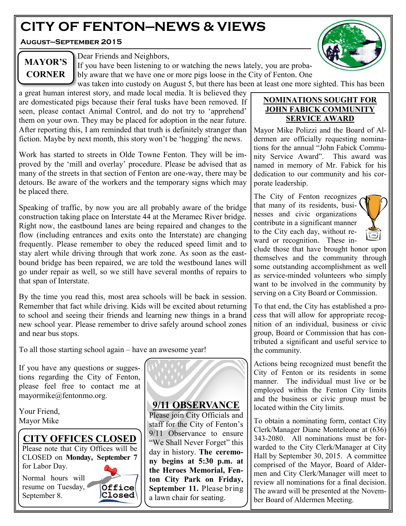# **CITY OF FENTON—NEWS & VIEWS**

**August—September 2015**



**MAYOR'S CORNER**

Dear Friends and Neighbors,

If you have been listening to or watching the news lately, you are probably aware that we have one or more pigs loose in the City of Fenton. One was taken into custody on August 5, but there has been at least one more sighted. This has been

a great human interest story, and made local media. It is believed they are domesticated pigs because their feral tusks have been removed. If seen, please contact Animal Control, and do not try to 'apprehend' them on your own. They may be placed for adoption in the near future. After reporting this, I am reminded that truth is definitely stranger than fiction. Maybe by next month, this story won't be 'hogging' the news.

Work has started to streets in Olde Towne Fenton. They will be improved by the 'mill and overlay' procedure. Please be advised that as many of the streets in that section of Fenton are one-way, there may be detours. Be aware of the workers and the temporary signs which may be placed there.

Speaking of traffic, by now you are all probably aware of the bridge construction taking place on Interstate 44 at the Meramec River bridge. Right now, the eastbound lanes are being repaired and changes to the flow (including entrances and exits onto the Interstate) are changing frequently. Please remember to obey the reduced speed limit and to stay alert while driving through that work zone. As soon as the eastbound bridge has been repaired, we are told the westbound lanes will go under repair as well, so we still have several months of repairs to that span of Interstate.

By the time you read this, most area schools will be back in session. Remember that fact while driving. Kids will be excited about returning to school and seeing their friends and learning new things in a brand new school year. Please remember to drive safely around school zones and near bus stops.

To all those starting school again – have an awesome year!

If you have any questions or suggestions regarding the City of Fenton, please feel free to contact me at mayormike@fentonmo.org.

Your Friend, Mayor Mike

# **CITY OFFICES CLOSED**

Please note that City Offices will be CLOSED on **Monday, September 7**  for Labor Day.

Normal hours will resume on Tuesday, September 8.



**9/11 OBSERVANCE**

Please join City Officials and staff for the City of Fenton's 9/11 Observance to ensure "We Shall Never Forget" this day in history. **The ceremony begins at 5:30 p.m. at the Heroes Memorial, Fenton City Park on Friday, September 11.** Please bring a lawn chair for seating.

#### **NOMINATIONS SOUGHT FOR JOHN FABICK COMMUNITY SERVICE AWARD**

Mayor Mike Polizzi and the Board of Aldermen are officially requesting nominations for the annual "John Fabick Community Service Award". This award was named in memory of Mr. Fabick for his dedication to our community and his corporate leadership.

The City of Fenton recognizes that many of its residents, businesses and civic organizations contribute in a significant manner to the City each day, without reward or recognition. These in-



clude those that have brought honor upon themselves and the community through some outstanding accomplishment as well as service-minded volunteers who simply want to be involved in the community by serving on a City Board or Commission.

To that end, the City has established a process that will allow for appropriate recognition of an individual, business or civic group, Board or Commission that has contributed a significant and useful service to the community.

Actions being recognized must benefit the City of Fenton or its residents in some manner. The individual must live or be employed within the Fenton City limits and the business or civic group must be located within the City limits.

To obtain a nominating form, contact City Clerk/Manager Diane Monteleone at (636) 343-2080. All nominations must be forwarded to the City Clerk/Manager at City Hall by September 30, 2015. A committee comprised of the Mayor, Board of Aldermen and City Clerk/Manager will meet to review all nominations for a final decision. The award will be presented at the November Board of Aldermen Meeting.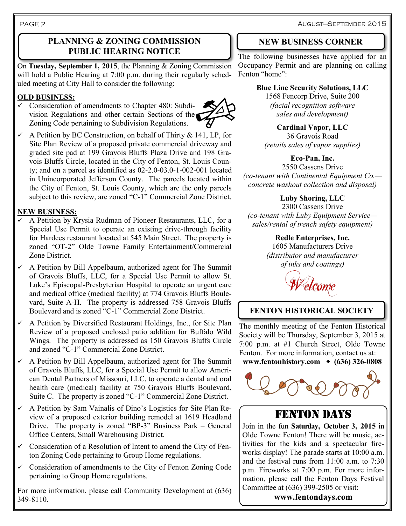August—September 2015

#### PAGE 2

### **PLANNING & ZONING COMMISSION PUBLIC HEARING NOTICE**

On **Tuesday, September 1, 2015**, the Planning & Zoning Commission will hold a Public Hearing at 7:00 p.m. during their regularly scheduled meeting at City Hall to consider the following:

#### **OLD BUSINESS:**

 $\checkmark$  Consideration of amendments to Chapter 480: Subdivision Regulations and other certain Sections of the Zoning Code pertaining to Subdivision Regulations.



 $\sim$  A Petition by BC Construction, on behalf of Thirty & 141, LP, for Site Plan Review of a proposed private commercial driveway and graded site pad at 199 Gravois Bluffs Plaza Drive and 198 Gravois Bluffs Circle, located in the City of Fenton, St. Louis County; and on a parcel as identified as 02-2.0-03.0-1-002-001 located in Unincorporated Jefferson County. The parcels located within the City of Fenton, St. Louis County, which are the only parcels subject to this review, are zoned "C-1" Commercial Zone District.

#### **NEW BUSINESS:**

- $\checkmark$  A Petition by Krysia Rudman of Pioneer Restaurants, LLC, for a Special Use Permit to operate an existing drive-through facility for Hardees restaurant located at 545 Main Street. The property is zoned "OT-2" Olde Towne Family Entertainment/Commercial Zone District.
- $\checkmark$  A Petition by Bill Appelbaum, authorized agent for The Summit of Gravois Bluffs, LLC, for a Special Use Permit to allow St. Luke's Episcopal-Presbyterian Hospital to operate an urgent care and medical office (medical facility) at 774 Gravois Bluffs Boulevard, Suite A-H. The property is addressed 758 Gravois Bluffs Boulevard and is zoned "C-1" Commercial Zone District.
- $\checkmark$  A Petition by Diversified Restaurant Holdings, Inc., for Site Plan Review of a proposed enclosed patio addition for Buffalo Wild Wings. The property is addressed as 150 Gravois Bluffs Circle and zoned "C-1" Commercial Zone District.
- $\checkmark$  A Petition by Bill Appelbaum, authorized agent for The Summit of Gravois Bluffs, LLC, for a Special Use Permit to allow American Dental Partners of Missouri, LLC, to operate a dental and oral health care (medical) facility at 750 Gravois Bluffs Boulevard, Suite C. The property is zoned "C-1" Commercial Zone District.
- $\checkmark$  A Petition by Sam Vainalis of Dino's Logistics for Site Plan Review of a proposed exterior building remodel at 1619 Headland Drive. The property is zoned "BP-3" Business Park – General Office Centers, Small Warehousing District.
- $\checkmark$  Consideration of a Resolution of Intent to amend the City of Fenton Zoning Code pertaining to Group Home regulations.
- $\checkmark$  Consideration of amendments to the City of Fenton Zoning Code pertaining to Group Home regulations.

For more information, please call Community Development at (636) 349-8110.

# **NEW BUSINESS CORNER**

The following businesses have applied for an Occupancy Permit and are planning on calling Fenton "home":

# **Blue Line Security Solutions, LLC**

1568 Fencorp Drive, Suite 200 *(facial recognition software sales and development)*

**Cardinal Vapor, LLC** 36 Gravois Road *(retails sales of vapor supplies)*

### **Eco-Pan, Inc.**

2550 Cassens Drive *(co-tenant with Continental Equipment Co. concrete washout collection and disposal)*

## **Luby Shoring, LLC**

2300 Cassens Drive *(co-tenant with Luby Equipment Service sales/rental of trench safety equipment)*

### **Redle Enterprises, Inc.**

1605 Manufacturers Drive *(distributor and manufacturer of inks and coatings)*



# **FENTON HISTORICAL SOCIETY**

The monthly meeting of the Fenton Historical Society will be Thursday, September 3, 2015 at 7:00 p.m. at #1 Church Street, Olde Towne Fenton. For more information, contact us at: **www.fentonhistory.com (636) 326-0808**



# FENTON DAYS

Join in the fun **Saturday, October 3, 2015** in Olde Towne Fenton! There will be music, activities for the kids and a spectacular fireworks display! The parade starts at 10:00 a.m. and the festival runs from 11:00 a.m. to 7:30 p.m. Fireworks at 7:00 p.m. For more information, please call the Fenton Days Festival Committee at (636) 399-2505 or visit:

**www.fentondays.com**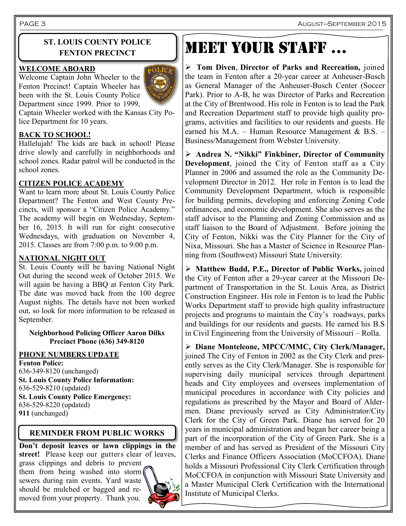PAGE 3 August—September 2015

### **ST. LOUIS COUNTY POLICE FENTON PRECINCT**

#### **WELCOME ABOARD**

Welcome Captain John Wheeler to the Fenton Precinct! Captain Wheeler has been with the St. Louis County Police Department since 1999. Prior to 1999,



Captain Wheeler worked with the Kansas City Police Department for 10 years.

#### **BACK TO SCHOOL!**

Hallelujah! The kids are back in school! Please drive slowly and carefully in neighborhoods and school zones. Radar patrol will be conducted in the school zones.

#### **CITIZEN POLICE ACADEMY**

Want to learn more about St. Louis County Police Department? The Fenton and West County Precincts, will sponsor a "Citizen Police Academy." The academy will begin on Wednesday, September 16, 2015. It will run for eight consecutive Wednesdays, with graduation on November 4, 2015. Classes are from 7:00 p.m. to 9:00 p.m.

#### **NATIONAL NIGHT OUT**

St. Louis County will be having National Night Out during the second week of October 2015. We will again be having a BBQ at Fenton City Park. The date was moved back from the 100 degree August nights. The details have not been worked out, so look for more information to be released in September.

#### **Neighborhood Policing Officer Aaron Dilks Precinct Phone (636) 349-8120**

#### **PHONE NUMBERS UPDATE**

**Fenton Police:** 636-349-8120 (unchanged) **St. Louis County Police Information:** 636-529-8210 (updated) **St. Louis County Police Emergency:** 636-529-8220 (updated) **911** (unchanged)

### **REMINDER FROM PUBLIC WORKS**

**Don't deposit leaves or lawn clippings in the street!** Please keep our gutters clear of leaves,

grass clippings and debris to prevent them from being washed into storm sewers during rain events. Yard waste should be mulched or bagged and removed from your property. Thank you.



# Meet your staff …

 **Tom Diven**, **Director of Parks and Recreation,** joined the team in Fenton after a 20-year career at Anheuser-Busch as General Manager of the Anheuser-Busch Center (Soccer Park). Prior to A-B, he was Director of Parks and Recreation at the City of Brentwood. His role in Fenton is to lead the Park and Recreation Department staff to provide high quality programs, activities and facilities to our residents and guests. He earned his M.A. – Human Resource Management & B.S. – Business/Management from Webster University.

 **Andrea N. "Nikki" Finkbiner, Director of Community Development**, joined the City of Fenton staff as a City Planner in 2006 and assumed the role as the Community Development Director in 2012. Her role in Fenton is to lead the Community Development Department, which is responsible for building permits, developing and enforcing Zoning Code ordinances, and economic development. She also serves as the staff advisor to the Planning and Zoning Commission and as staff liaison to the Board of Adjustment. Before joining the City of Fenton, Nikki was the City Planner for the City of Nixa, Missouri. She has a Master of Science in Resource Planning from (Southwest) Missouri State University.

 **Matthew Budd, P.E., Director of Public Works,** joined the City of Fenton after a 29-year career at the Missouri Department of Transportation in the St. Louis Area, as District Construction Engineer. His role in Fenton is to lead the Public Works Department staff to provide high quality infrastructure projects and programs to maintain the City's roadways, parks and buildings for our residents and guests. He earned his B.S in Civil Engineering from the University of Missouri – Rolla.

 **Diane Monteleone, MPCC/MMC, City Clerk/Manager,** joined The City of Fenton in 2002 as the City Clerk and presently serves as the City Clerk/Manager. She is responsible for supervising daily municipal services through department heads and City employees and oversees implementation of municipal procedures in accordance with City policies and regulations as prescribed by the Mayor and Board of Aldermen. Diane previously served as City Administrator/City Clerk for the City of Green Park. Diane has served for 20 years in municipal administration and began her career being a part of the incorporation of the City of Green Park. She is a member of and has served as President of the Missouri City Clerks and Finance Officers Association (MoCCFOA). Diane holds a Missouri Professional City Clerk Certification through MoCCFOA in conjunction with Missouri State University and a Master Municipal Clerk Certification with the International Institute of Municipal Clerks.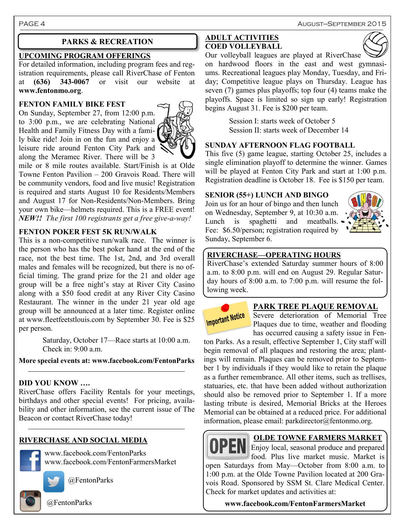PAGE 4 August—SEPTEMBER 2015

#### **UPCOMING PROGRAM OFFERINGS**

For detailed information, including program fees and registration requirements, please call RiverChase of Fenton at **(636) 343-0067** or visit our website at **www.fentonmo.org**.

#### **FENTON FAMILY BIKE FEST**

On Sunday, September 27, from 12:00 p.m. to 3:00 p.m., we are celebrating National Health and Family Fitness Day with a family bike ride! Join in on the fun and enjoy a leisure ride around Fenton City Park and along the Meramec River. There will be 3



mile or 8 mile routes available. Start/Finish is at Olde Towne Fenton Pavilion – 200 Gravois Road. There will be community vendors, food and live music! Registration is required and starts August 10 for Residents/Members and August 17 for Non-Residents/Non-Members. Bring your own bike—helmets required. This is a FREE event! *NEW!! The first 100 registrants get a free give-a-way!*

#### **FENTON POKER FEST 5K RUN/WALK**

This is a non-competitive run/walk race. The winner is the person who has the best poker hand at the end of the race, not the best time. The 1st, 2nd, and 3rd overall males and females will be recognized, but there is no official timing. The grand prize for the 21 and older age group will be a free night's stay at River City Casino along with a \$50 food credit at any River City Casino Restaurant. The winner in the under 21 year old age group will be announced at a later time. Register online at www.fleetfeetstlouis.com by September 30. Fee is \$25 per person.

> Saturday, October 17—Race starts at 10:00 a.m. Check in: 9:00 a.m.

#### **More special events at: www.facebook.com/FentonParks**

#### **DID YOU KNOW ….**

RiverChase offers Facility Rentals for your meetings, birthdays and other special events! For pricing, availability and other information, see the current issue of The Beacon or contact RiverChase today!

#### **RIVERCHASE AND SOCIAL MEDIA**

www.facebook.com/FentonParks www.facebook.com/FentonFarmersMarket

@FentonParks

@FentonParks

#### **PARKS & RECREATION ADULT ACTIVITIES COED VOLLEYBALL**



Our volleyball leagues are played at RiverChase on hardwood floors in the east and west gymnasiums. Recreational leagues play Monday, Tuesday, and Friday; Competitive league plays on Thursday. League has seven (7) games plus playoffs; top four (4) teams make the playoffs. Space is limited so sign up early! Registration begins August 31. Fee is \$200 per team.

> Session I: starts week of October 5 Session II: starts week of December 14

#### **SUNDAY AFTERNOON FLAG FOOTBALL**

This five (5) game league, starting October 25, includes a single elimination playoff to determine the winner. Games will be played at Fenton City Park and start at 1:00 p.m. Registration deadline is October 18. Fee is \$150 per team.

#### **SENIOR (55+) LUNCH AND BINGO**

Join us for an hour of bingo and then lunch on Wednesday, September 9, at 10:30 a.m. Lunch is spaghetti and meatballs. Fee: \$6.50/person; registration required by Sunday, September 6.



#### **RIVERCHASE—OPERATING HOURS**

RiverChase's extended Saturday summer hours of 8:00 a.m. to 8:00 p.m. will end on August 29. Regular Saturday hours of 8:00 a.m. to 7:00 p.m. will resume the following week.



#### **PARK TREE PLAQUE REMOVAL**

Severe deterioration of Memorial Tree Plaques due to time, weather and flooding has occurred causing a safety issue in Fen-

ton Parks. As a result, effective September 1, City staff will begin removal of all plaques and restoring the area; plantings will remain. Plaques can be removed prior to September 1 by individuals if they would like to retain the plaque as a further remembrance. All other items, such as trellises, statuaries, etc. that have been added without authorization should also be removed prior to September 1. If a more lasting tribute is desired, Memorial Bricks at the Heroes Memorial can be obtained at a reduced price. For additional information, please email: parkdirector@fentonmo.org.



#### **OLDE TOWNE FARMERS MARKET**

Enjoy local, seasonal produce and prepared food. Plus live market music. Market is open Saturdays from May—October from 8:00 a.m. to 1:00 p.m. at the Olde Towne Pavilion located at 200 Gravois Road. Sponsored by SSM St. Clare Medical Center. Check for market updates and activities at:

**www.facebook.com/FentonFarmersMarket**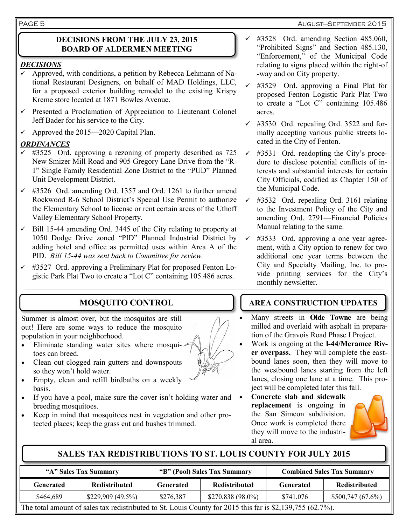#### **DECISIONS FROM THE JULY 23, 2015 BOARD OF ALDERMEN MEETING**

#### *DECISIONS*

- $\checkmark$  Approved, with conditions, a petition by Rebecca Lehmann of National Restaurant Designers, on behalf of MAD Holdings, LLC, for a proposed exterior building remodel to the existing Krispy Kreme store located at 1871 Bowles Avenue.
- $\checkmark$  Presented a Proclamation of Appreciation to Lieutenant Colonel Jeff Bader for his service to the City.
- $\checkmark$  Approved the 2015—2020 Capital Plan.

#### *ORDINANCES*

- #3525 Ord. approving a rezoning of property described as 725 New Smizer Mill Road and 905 Gregory Lane Drive from the "R-1" Single Family Residential Zone District to the "PUD" Planned Unit Development District.
- $\checkmark$  #3526 Ord. amending Ord. 1357 and Ord. 1261 to further amend Rockwood R-6 School District's Special Use Permit to authorize the Elementary School to license or rent certain areas of the Uthoff Valley Elementary School Property.
- $\checkmark$  Bill 15-44 amending Ord. 3445 of the City relating to property at 1050 Dodge Drive zoned "PID" Planned Industrial District by adding hotel and office as permitted uses within Area A of the PID. *Bill 15-44 was sent back to Committee for review.*
- $\checkmark$  #3527 Ord. approving a Preliminary Plat for proposed Fenton Logistic Park Plat Two to create a "Lot C" containing 105.486 acres.

# **MOSQUITO CONTROL**

Summer is almost over, but the mosquitos are still out! Here are some ways to reduce the mosquito population in your neighborhood.

- Eliminate standing water sites where mosquitoes can breed.
- Clean out clogged rain gutters and downspouts so they won't hold water.
- Empty, clean and refill birdbaths on a weekly basis.
- If you have a pool, make sure the cover isn't holding water and breeding mosquitoes.
- Keep in mind that mosquitoes nest in vegetation and other protected places; keep the grass cut and bushes trimmed.
- $\checkmark$  #3528 Ord. amending Section 485.060, "Prohibited Signs" and Section 485.130, "Enforcement," of the Municipal Code relating to signs placed within the right-of -way and on City property.
- #3529 Ord. approving a Final Plat for proposed Fenton Logistic Park Plat Two to create a "Lot C" containing 105.486 acres.
- $\checkmark$  #3530 Ord. repealing Ord. 3522 and formally accepting various public streets located in the City of Fenton.
- $\checkmark$  #3531 Ord. readopting the City's procedure to disclose potential conflicts of interests and substantial interests for certain City Officials, codified as Chapter 150 of the Municipal Code.
- $\checkmark$  #3532 Ord. repealing Ord. 3161 relating to the Investment Policy of the City and amending Ord. 2791—Financial Policies Manual relating to the same.
- #3533 Ord. approving a one year agreement, with a City option to renew for two additional one year terms between the City and Specialty Mailing, Inc. to provide printing services for the City's monthly newsletter.

# **AREA CONSTRUCTION UPDATES**

- Many streets in **Olde Towne** are being milled and overlaid with asphalt in preparation of the Gravois Road Phase I Project.
- Work is ongoing at the **I-44/Meramec River overpass.** They will complete the eastbound lanes soon, then they will move to the westbound lanes starting from the left lanes, closing one lane at a time. This project will be completed later this fall.
- **Concrete slab and sidewalk replacement** is ongoing in the San Simeon subdivision. Once work is completed there they will move to the industrial area.



# **SALES TAX REDISTRIBUTIONS TO ST. LOUIS COUNTY FOR JULY 2015**

| "A" Sales Tax Summary                                                                                     |                      | "B" (Pool) Sales Tax Summary |                      | <b>Combined Sales Tax Summary</b> |                      |  |  |
|-----------------------------------------------------------------------------------------------------------|----------------------|------------------------------|----------------------|-----------------------------------|----------------------|--|--|
| <b>Generated</b>                                                                                          | <b>Redistributed</b> | Generated                    | <b>Redistributed</b> | Generated                         | <b>Redistributed</b> |  |  |
| \$464,689                                                                                                 | \$229,909 (49.5%)    | \$276,387                    | $$270,838(98.0\%)$   | \$741,076                         | \$500,747(67.6%)     |  |  |
| The total amount of sales tax redistributed to St. Louis County for 2015 this far is \$2,139,755 (62.7%). |                      |                              |                      |                                   |                      |  |  |